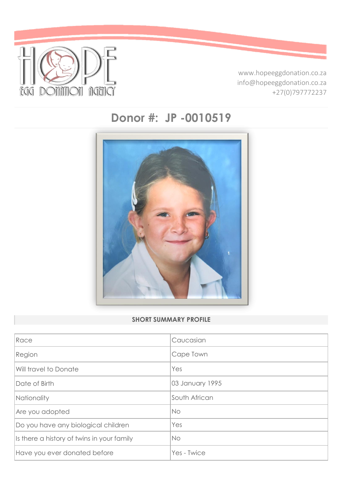

www.hopeeggdonation.co.za info@hopeeggdonation.co.za +27(0)797772237

# **Donor #: JP -0010519**



# **SHORT SUMMARY PROFILE**

| Race                                       | Caucasian       |
|--------------------------------------------|-----------------|
| Region                                     | Cape Town       |
| Will travel to Donate                      | Yes             |
| Date of Birth                              | 03 January 1995 |
| Nationality                                | South African   |
| Are you adopted                            | <b>No</b>       |
| Do you have any biological children        | Yes             |
| Is there a history of twins in your family | No              |
| Have you ever donated before               | Yes - Twice     |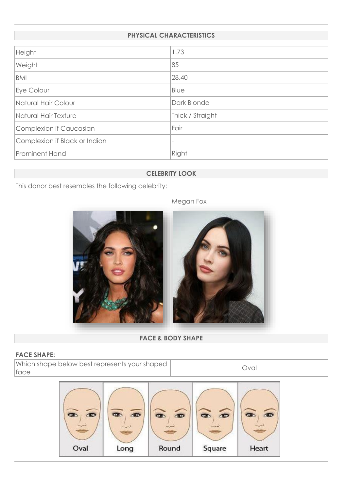#### **PHYSICAL CHARACTERISTICS**

| Height                        | 1.73             |
|-------------------------------|------------------|
| Weight                        | 85               |
| BMI                           | 28.40            |
| Eye Colour                    | Blue             |
| Natural Hair Colour           | Dark Blonde      |
| Natural Hair Texture          | Thick / Straight |
| Complexion if Caucasian       | Fair             |
| Complexion if Black or Indian |                  |
| <b>Prominent Hand</b>         | Right            |
|                               |                  |

## **CELEBRITY LOOK**

This donor best resembles the following celebrity:



#### **FACE & BODY SHAPE**

#### **FACE SHAPE:**

Which shape below best represents your shaped face

Oval



Megan Fox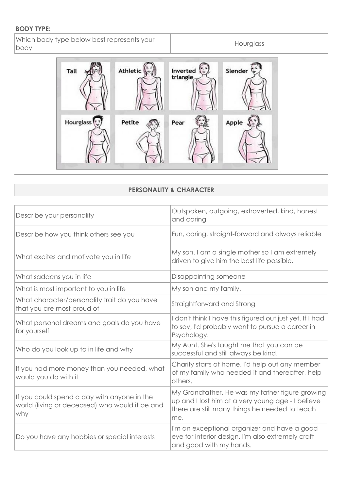## **BODY TYPE:**

Which body type below best represents your body

Hourglass



# **PERSONALITY & CHARACTER**

| Describe your personality                                                                            | Outspoken, outgoing, extroverted, kind, honest<br>and caring                                                                                                  |
|------------------------------------------------------------------------------------------------------|---------------------------------------------------------------------------------------------------------------------------------------------------------------|
| Describe how you think others see you                                                                | Fun, caring, straight-forward and always reliable                                                                                                             |
| What excites and motivate you in life                                                                | My son. I am a single mother so I am extremely<br>driven to give him the best life possible.                                                                  |
| What saddens you in life                                                                             | Disappointing someone                                                                                                                                         |
| What is most important to you in life                                                                | My son and my family.                                                                                                                                         |
| What character/personality trait do you have<br>that you are most proud of                           | Straightforward and Strong                                                                                                                                    |
| What personal dreams and goals do you have<br>for yourself                                           | I don't think I have this figured out just yet. If I had<br>to say, I'd probably want to pursue a career in<br>Psychology.                                    |
| Who do you look up to in life and why                                                                | My Aunt. She's taught me that you can be<br>successful and still always be kind.                                                                              |
| If you had more money than you needed, what<br>would you do with it                                  | Charity starts at home. I'd help out any member<br>of my family who needed it and thereafter, help<br>others.                                                 |
| If you could spend a day with anyone in the<br>world (living or deceased) who would it be and<br>why | My Grandfather. He was my father figure growing<br>up and I lost him at a very young age - I believe<br>there are still many things he needed to teach<br>me. |
| Do you have any hobbies or special interests                                                         | I'm an exceptional organizer and have a good<br>eye for interior design. I'm also extremely craft<br>and good with my hands.                                  |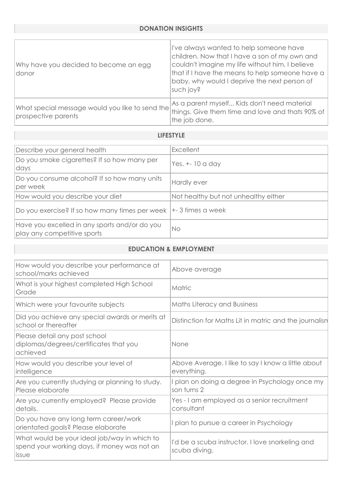| Why have you decided to become an egg<br> donor                        | l've always wanted to help someone have<br>children. Now that I have a son of my own and<br>couldn't imagine my life without him, I believe<br>that if I have the means to help someone have a<br>baby, why would I deprive the next person of<br>such joy? |
|------------------------------------------------------------------------|-------------------------------------------------------------------------------------------------------------------------------------------------------------------------------------------------------------------------------------------------------------|
| What special message would you like to send the<br>prospective parents | As a parent myself Kids don't need material<br>things. Give them time and love and thats 90% of<br>the job done.                                                                                                                                            |

# **LIFESTYLE**

| Describe your general health                                                 | <b>Excellent</b>                     |
|------------------------------------------------------------------------------|--------------------------------------|
| Do you smoke cigarettes? If so how many per<br>days                          | Yes. $+-10$ a day                    |
| Do you consume alcohol? If so how many units<br>per week                     | Hardly ever                          |
| How would you describe your diet                                             | Not healthy but not unhealthy either |
| Do you exercise? If so how many times per week                               | $\left  +\right $ 3 times a week     |
| Have you excelled in any sports and/or do you<br>play any competitive sports | No                                   |

#### **EDUCATION & EMPLOYMENT**

| How would you describe your performance at<br>school/marks achieved                                           | Above average                                                     |
|---------------------------------------------------------------------------------------------------------------|-------------------------------------------------------------------|
| What is your highest completed High School<br>Grade                                                           | Matric                                                            |
| Which were your favourite subjects                                                                            | <b>Maths Literacy and Business</b>                                |
| Did you achieve any special awards or merits at<br>school or thereafter                                       | Distinction for Maths Lit in matric and the journalisn            |
| Please detail any post school<br>diplomas/degrees/certificates that you<br>achieved                           | None                                                              |
| How would you describe your level of<br>intelligence                                                          | Above Average. I like to say I know a little about<br>everything. |
| Are you currently studying or planning to study.<br>Please elaborate                                          | I plan on doing a degree in Psychology once my<br>son turns 2     |
| Are you currently employed? Please provide<br>details.                                                        | Yes - I am employed as a senior recruitment<br>consultant         |
| Do you have any long term career/work<br>orientated goals? Please elaborate                                   | plan to pursue a career in Psychology                             |
| What would be your ideal job/way in which to<br>spend your working days, if money was not an<br><i>lissue</i> | I'd be a scuba instructor. I love snorkeling and<br>scuba diving. |
|                                                                                                               |                                                                   |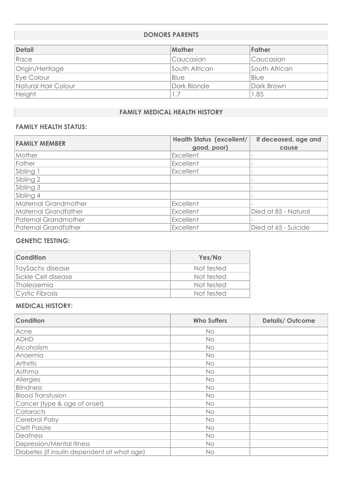#### **DONORS PARENTS**

| <b>Detail</b>       | <b>Mother</b> | Father        |
|---------------------|---------------|---------------|
| Race                | Caucasian     | Caucasian     |
| Origin/Heritage     | South African | South African |
| Eye Colour          | Blue          | Blue          |
| Natural Hair Colour | Dark Blonde   | Dark Brown    |
| Height              | 1.7           | 1.85          |

## **FAMILY MEDICAL HEALTH HISTORY**

# **FAMILY HEALTH STATUS:**

| <b>FAMILY MEMBER</b> | <b>Health Status (excellent/</b> | If deceased, age and |
|----------------------|----------------------------------|----------------------|
|                      | good, poor)                      | cause                |
| Mother               | Excellent                        |                      |
| Father               | Excellent                        |                      |
| Sibling 1            | Excellent                        |                      |
| Sibling 2            |                                  |                      |
| Sibling 3            |                                  |                      |
| Sibling 4            |                                  |                      |
| Maternal Grandmother | Excellent                        |                      |
| Maternal Grandfather | Excellent                        | Died at 85 - Natural |
| Paternal Grandmother | Excellent                        |                      |
| Paternal Grandfather | Excellent                        | Died at 65 - Suicide |

#### **GENETIC TESTING:**

| <b>Condition</b>    | Yes/No     |
|---------------------|------------|
| TaySachs disease    | Not tested |
| Sickle Cell disease | Not tested |
| <b>Thalessemia</b>  | Not tested |
| Cystic Fibrosis     | Not tested |

#### **MEDICAL HISTORY:**

| <b>Condition</b>                            | <b>Who Suffers</b> | <b>Details/Outcome</b> |
|---------------------------------------------|--------------------|------------------------|
| Acne                                        | No.                |                        |
| <b>ADHD</b>                                 | <b>No</b>          |                        |
| Alcoholism                                  | No.                |                        |
| Anaemia                                     | <b>No</b>          |                        |
| Arthritis                                   | <b>No</b>          |                        |
| Asthma                                      | <b>No</b>          |                        |
| Allergies                                   | No.                |                        |
| Blindness                                   | No                 |                        |
| <b>Blood Transfusion</b>                    | No                 |                        |
| Cancer (type & age of onset)                | <b>No</b>          |                        |
| Cataracts                                   | <b>No</b>          |                        |
| Cerebral Palsy                              | <b>No</b>          |                        |
| <b>Cleft Palate</b>                         | <b>No</b>          |                        |
| Deafness                                    | <b>No</b>          |                        |
| Depression/Mental Illness                   | <b>No</b>          |                        |
| Diabetes (if insulin dependent at what age) | <b>No</b>          |                        |